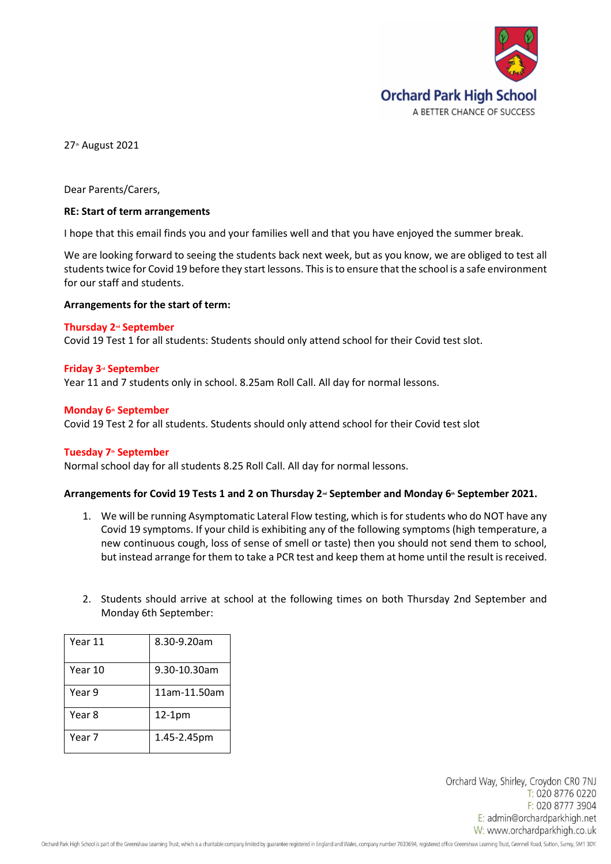

27<sup>th</sup> August 2021

Dear Parents/Carers,

# **RE: Start of term arrangements**

I hope that this email finds you and your families well and that you have enjoyed the summer break.

We are looking forward to seeing the students back next week, but as you know, we are obliged to test all students twice for Covid 19 before they start lessons. This is to ensure that the school is a safe environment for our staff and students.

# **Arrangements for the start of term:**

### **Thursday 2nd September**

Covid 19 Test 1 for all students: Students should only attend school for their Covid test slot.

# **Friday 3rd September**

Year 11 and 7 students only in school. 8.25am Roll Call. All day for normal lessons.

# **Monday 6th September**

Covid 19 Test 2 for all students. Students should only attend school for their Covid test slot

### **Tuesday 7th September**

Normal school day for all students 8.25 Roll Call. All day for normal lessons.

### Arrangements for Covid 19 Tests 1 and 2 on Thursday 2<sup>*™*</sup> September and Monday 6<sup>™</sup> September 2021.

- 1. We will be running Asymptomatic Lateral Flow testing, which is for students who do NOT have any Covid 19 symptoms. If your child is exhibiting any of the following symptoms (high temperature, a new continuous cough, loss of sense of smell or taste) then you should not send them to school, but instead arrange for them to take a PCR test and keep them at home until the result is received.
- 2. Students should arrive at school at the following times on both Thursday 2nd September and Monday 6th September:

| Year 11 | 8.30-9.20am  |
|---------|--------------|
| Year 10 | 9.30-10.30am |
| Year 9  | 11am-11.50am |
| Year 8  | $12-1pm$     |
| Year 7  | 1.45-2.45pm  |